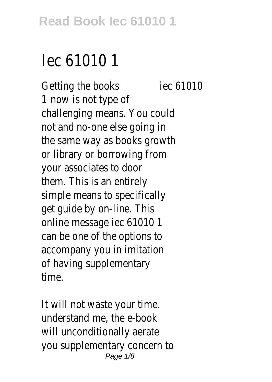## lec 61010

Getting the booksiec 6101 1 now is not type challenging means. You co not and no-one else going the same way as books gro or library or borrowing fi your associates to do them. This is an entir simple means to specifical get guide by on-line. This online message iec 6101 can be one of the options accompany you in imitat of having supplementa time.

It will not waste your t understand me, the e-book will unconditionally aera you supplementary concern Page  $1/8$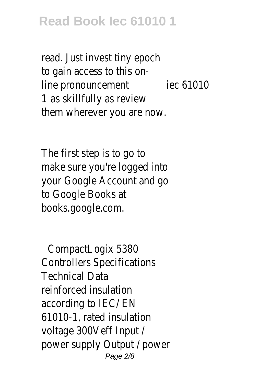read. Just invest tiny epo to gain access to this line pronouncementec 6101 1 as skillfully as revie them wherever you are n

The first step is to go make sure you're logged in your Google Account and to Google Books books.google.cor

CompactLogix 5380 Controllers Specifications Technical Data reinforced insulation according to  $IEC$  E 61010-1, rated insulat voltage 300Veff Input power supply Output / pow Page 2/8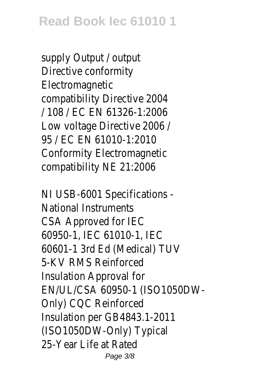supply Output / outp Directive conformi Electromagnet compatibility Directive 20 / 108 / EC EN 61326-1:2006 Low voltage Directive 200 95 / FC FN 61010-1:201 Conformity Electromagne compatibility NE 21:200

NI USB-6001 Specifications National Instruments CSA Approved for IE 60950-1, IEC 61010-1, I 60601-1 3rd Ed (Medical) T 5-KV RMS Reinforce Insulation Approval f EN/UL/CSA 60950-1 (ISO1050DW-Only) CQC Reinforce Insulation per GB4843.1-20 (ISO1050DW-Only) Typic 25-Year Life at Rate Page 3/8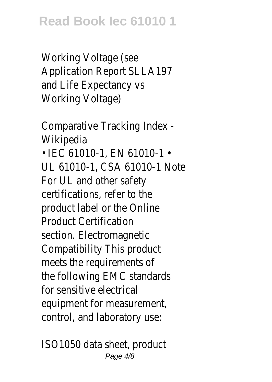Working Voltage (se Application Report SLLA1<sup>o</sup> and Life Expectancy Working Voltage)

Comparative Tracking Index - Wikipedia

• IEC 61010-1, EN 61010-UL 61010-1, CSA 61010-1 N For UL and other safe certifications, refer to product label or the Onl Product Certificati section. Electromagne Compatibility This produ meets the requirements the following EMC standa for sensitive electric equipment for measureme control, and laboratory us

ISO1050 data sheet, produc Page 4/8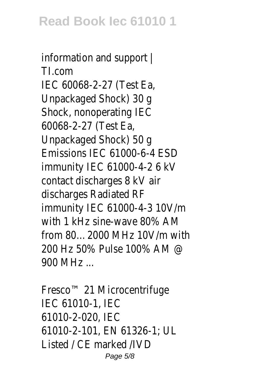information and support | TI.com IEC 60068-2-27 (Test E Unpackaged Shock) 30 Shock, nonoperating II 60068-2-27 (Test E Unpackaged Shock) 50  $F$ missions IFC 61000-6-4 F immunity IEC 61000-4-2 6 contact discharges 8 kV discharges Radiated R immunity IEC 61000-4-3 10V with 1 kHz sine-wave  $80\%$ . from 80...2000 MHz 10V/m w 200 Hz 50% Pulse 100% AM 900 MHz ...

Fresco<sup>™</sup> 21 Microcentrifuge **IEC 61010-1, IE** 61010-2-020, IE 61010-2-101, EN 61326-1; UL Listed /  $CE$  marked  $/IV$ Page 5/8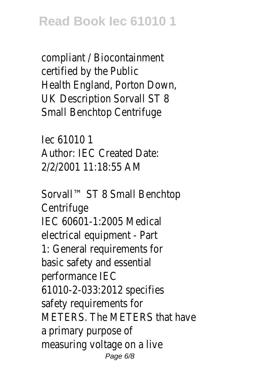compliant / Biocontainme certified by the Pub Health England, Porton Dov UK Description Sorvall ST Small Benchtop Centrifu

Iec 61010 1 Author: IFC Created Da 2/2/2001 11:18:55 AM

Sorvall™ ST 8 Small Benchtop **Centrifuge** IFC 60601-1:2005 Medio electrical equipment -  $P_1$ 1: General requirements basic safety and essent performance IE 61010-2-033:2012 specif safety requirements METERS. The METERS that ha a primary purpose measuring voltage on a l Page 6/8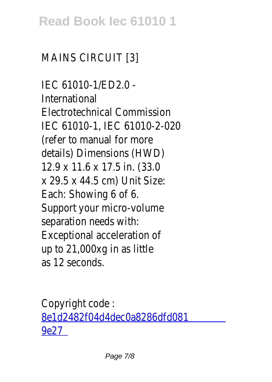## **Read Book Iec 61010 1**

## MAINS CIRCUIT [3]

IEC 61010-1/ED2.0 - International Electrotechnical Commission IEC 61010-1, IEC 61010-2-C (refer to manual for m details) Dimensions (HWI 12.9 x 11.6 x 17.5 in. (33.0 x 29.5 x 44.5 cm) Unit Siz Each: Showing 6 of Support your micro-volu separation needs wi Exceptional acceleration up to 21,000xg in as lit as 12 second

Copyright code [8e1d2482f04d4dec0a8286dfd0](/search-book/8e1d2482f04d4dec0a8286dfd0819e27) [9e27](/search-book/8e1d2482f04d4dec0a8286dfd0819e27)